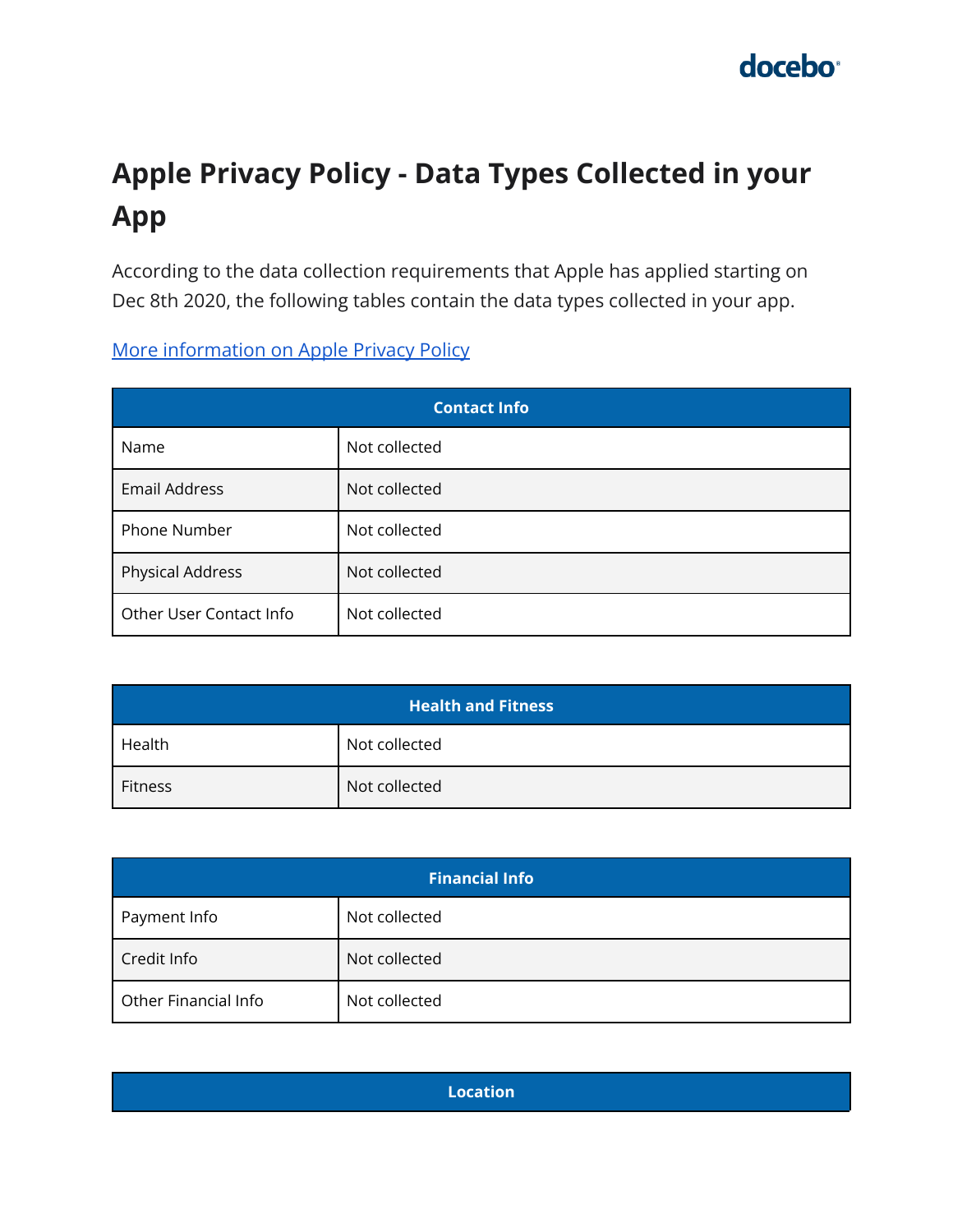# **Apple Privacy Policy - Data Types Collected in your App**

According to the data collection requirements that Apple has applied starting on Dec 8th 2020, the following tables contain the data types collected in your app.

[More information on Apple Privacy Policy](https://developer.apple.com/app-store/app-privacy-details/)

| <b>Contact Info</b>     |               |
|-------------------------|---------------|
| Name                    | Not collected |
| <b>Email Address</b>    | Not collected |
| Phone Number            | Not collected |
| Physical Address        | Not collected |
| Other User Contact Info | Not collected |

| <b>Health and Fitness</b> |               |
|---------------------------|---------------|
| Health                    | Not collected |
| Fitness                   | Not collected |

| <b>Financial Info</b> |               |
|-----------------------|---------------|
| Payment Info          | Not collected |
| Credit Info           | Not collected |
| Other Financial Info  | Not collected |

**Location**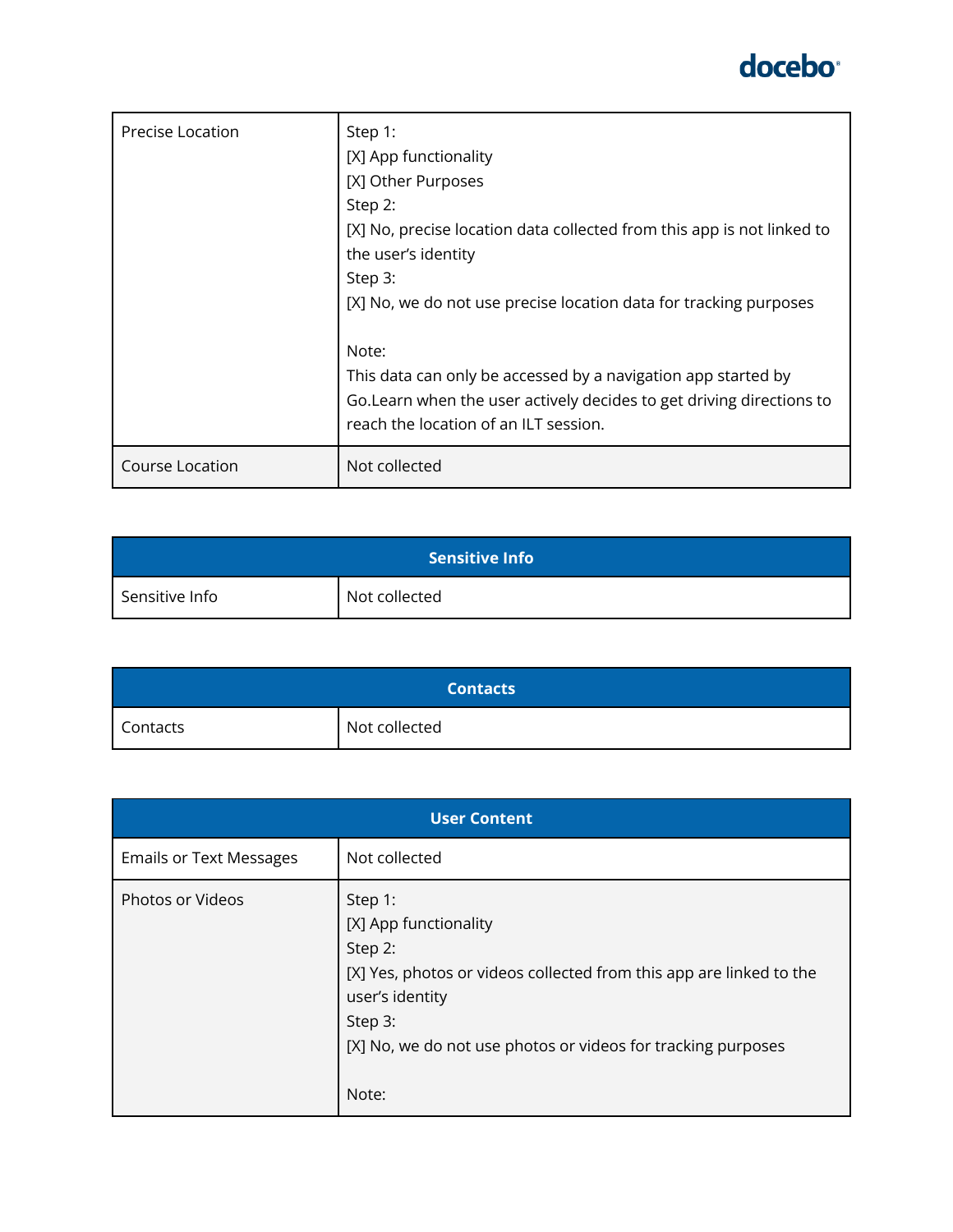| <b>Precise Location</b> | Step 1:<br>[X] App functionality<br>[X] Other Purposes<br>Step 2:<br>[X] No, precise location data collected from this app is not linked to<br>the user's identity<br>Step 3:<br>[X] No, we do not use precise location data for tracking purposes<br>Note:<br>This data can only be accessed by a navigation app started by<br>Go. Learn when the user actively decides to get driving directions to<br>reach the location of an ILT session. |
|-------------------------|------------------------------------------------------------------------------------------------------------------------------------------------------------------------------------------------------------------------------------------------------------------------------------------------------------------------------------------------------------------------------------------------------------------------------------------------|
| Course Location         | Not collected                                                                                                                                                                                                                                                                                                                                                                                                                                  |

| <b>Sensitive Info</b> |               |
|-----------------------|---------------|
| Sensitive Info        | Not collected |

| <b>Contacts</b> |               |
|-----------------|---------------|
| Contacts        | Not collected |

| <b>User Content</b>            |                                                                                                                                                                                                                           |
|--------------------------------|---------------------------------------------------------------------------------------------------------------------------------------------------------------------------------------------------------------------------|
| <b>Emails or Text Messages</b> | Not collected                                                                                                                                                                                                             |
| <b>Photos or Videos</b>        | Step 1:<br>[X] App functionality<br>Step 2:<br>[X] Yes, photos or videos collected from this app are linked to the<br>user's identity<br>Step 3:<br>[X] No, we do not use photos or videos for tracking purposes<br>Note: |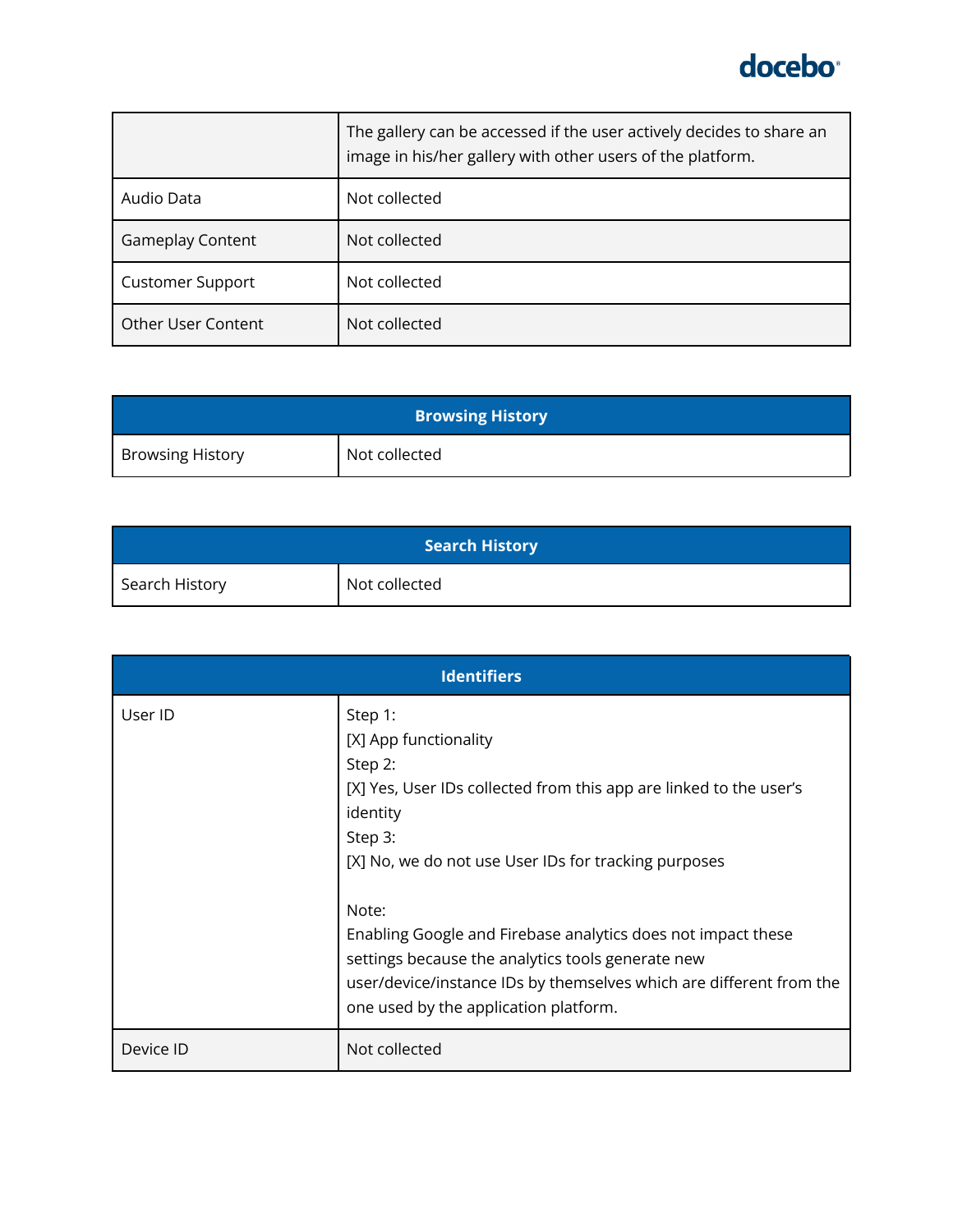

|                           | The gallery can be accessed if the user actively decides to share an<br>image in his/her gallery with other users of the platform. |
|---------------------------|------------------------------------------------------------------------------------------------------------------------------------|
| Audio Data                | Not collected                                                                                                                      |
| <b>Gameplay Content</b>   | Not collected                                                                                                                      |
| <b>Customer Support</b>   | Not collected                                                                                                                      |
| <b>Other User Content</b> | Not collected                                                                                                                      |

| <b>Browsing History</b> |               |
|-------------------------|---------------|
| <b>Browsing History</b> | Not collected |

| <b>Search History</b> |               |
|-----------------------|---------------|
| Search History        | Not collected |

| <b>Identifiers</b> |                                                                                                                                                                                                                                   |
|--------------------|-----------------------------------------------------------------------------------------------------------------------------------------------------------------------------------------------------------------------------------|
| User ID            | Step 1:<br>[X] App functionality<br>Step 2:<br>[X] Yes, User IDs collected from this app are linked to the user's<br>identity<br>Step 3:<br>[X] No, we do not use User IDs for tracking purposes<br>Note:                         |
|                    | Enabling Google and Firebase analytics does not impact these<br>settings because the analytics tools generate new<br>user/device/instance IDs by themselves which are different from the<br>one used by the application platform. |
| Device ID          | Not collected                                                                                                                                                                                                                     |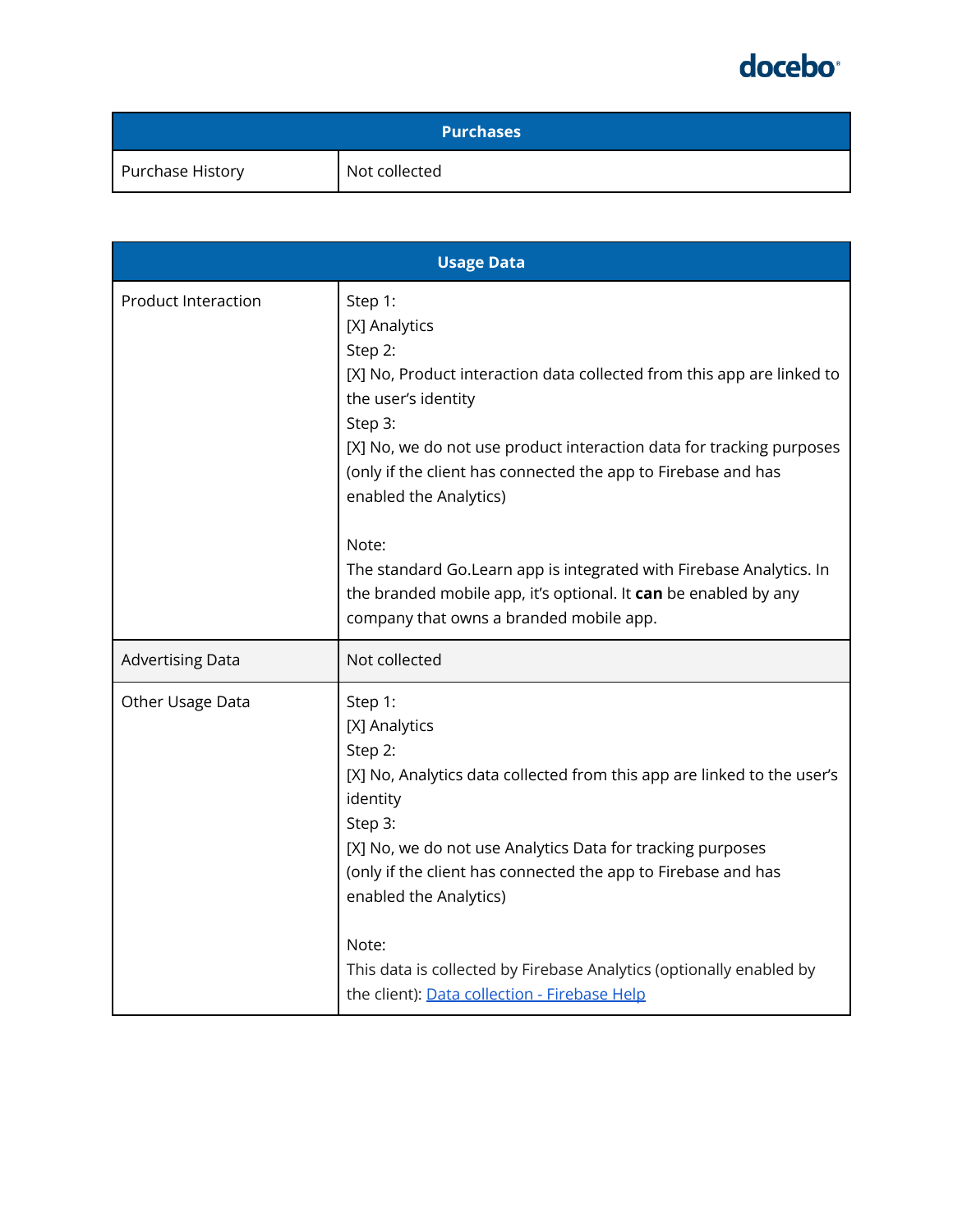| <b>Purchases</b> |               |
|------------------|---------------|
| Purchase History | Not collected |

| <b>Usage Data</b>          |                                                                                                                                                                                                                                                                                                                                                                                                                                                                                                                  |  |
|----------------------------|------------------------------------------------------------------------------------------------------------------------------------------------------------------------------------------------------------------------------------------------------------------------------------------------------------------------------------------------------------------------------------------------------------------------------------------------------------------------------------------------------------------|--|
| <b>Product Interaction</b> | Step 1:<br>[X] Analytics<br>Step 2:<br>[X] No, Product interaction data collected from this app are linked to<br>the user's identity<br>Step 3:<br>[X] No, we do not use product interaction data for tracking purposes<br>(only if the client has connected the app to Firebase and has<br>enabled the Analytics)<br>Note:<br>The standard Go.Learn app is integrated with Firebase Analytics. In<br>the branded mobile app, it's optional. It can be enabled by any<br>company that owns a branded mobile app. |  |
| <b>Advertising Data</b>    | Not collected                                                                                                                                                                                                                                                                                                                                                                                                                                                                                                    |  |
| Other Usage Data           | Step 1:<br>[X] Analytics<br>Step 2:<br>[X] No, Analytics data collected from this app are linked to the user's<br>identity<br>Step 3:<br>[X] No, we do not use Analytics Data for tracking purposes<br>(only if the client has connected the app to Firebase and has<br>enabled the Analytics)<br>Note:<br>This data is collected by Firebase Analytics (optionally enabled by<br>the client): Data collection - Firebase Help                                                                                   |  |